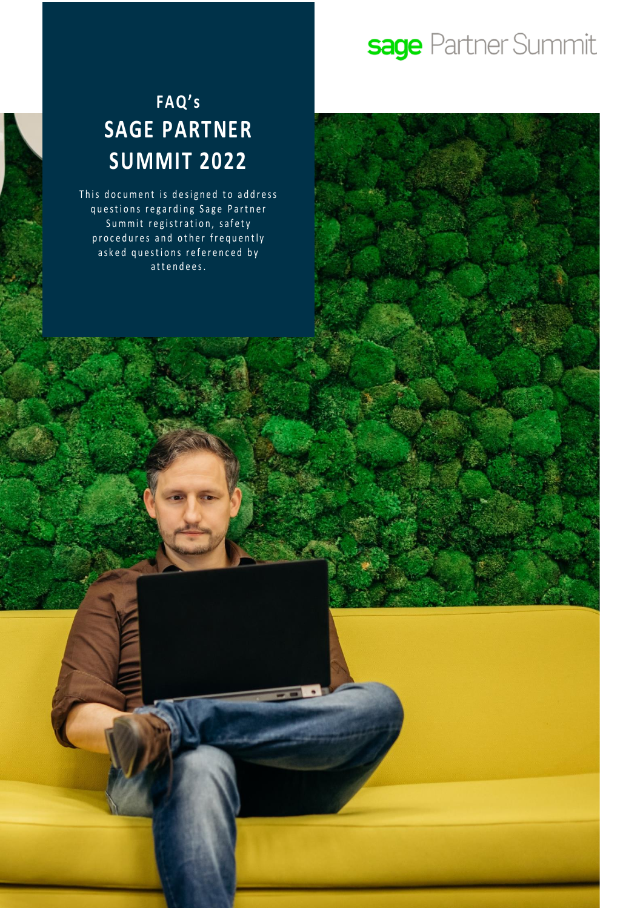# sage Partner Summit

### **FAQ' s SAGE PARTNER SUMMIT 2022**

This document is designed to address questions regarding Sage Partner Summit registration, safety procedures and other frequently asked questions referenced by attendees.

1 O 2022 The Sage Group place Group place Group place Sage Group place Sage Group place Sage Group place or its

All rights reserved.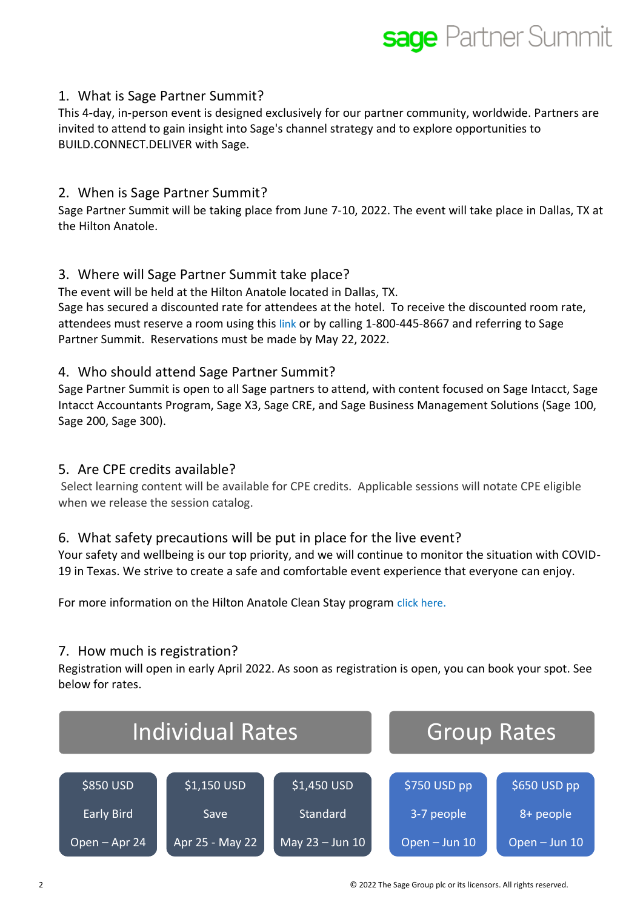## **sage** Partner Summit

### 1. What is Sage Partner Summit?

This 4-day, in-person event is designed exclusively for our partner community, worldwide. Partners are invited to attend to gain insight into Sage's channel strategy and to explore opportunities to BUILD.CONNECT.DELIVER with Sage.

### 2. When is Sage Partner Summit?

Sage Partner Summit will be taking place from June 7-10, 2022. The event will take place in Dallas, TX at the Hilton Anatole.

### 3. Where will Sage Partner Summit take place?

The event will be held at the Hilton Anatole located in Dallas, TX. Sage has secured a discounted rate for attendees at the hotel. To receive the discounted room rate, attendees must reserve a room using this [link](https://book.passkey.com/go/SagePartnerSummit) or by calling 1-800-445-8667 and referring to Sage Partner Summit. Reservations must be made by May 22, 2022.

### 4. Who should attend Sage Partner Summit?

Sage Partner Summit is open to all Sage partners to attend, with content focused on Sage Intacct, Sage Intacct Accountants Program, Sage X3, Sage CRE, and Sage Business Management Solutions (Sage 100, Sage 200, Sage 300).

### 5. Are CPE credits available?

Select learning content will be available for CPE credits. Applicable sessions will notate CPE eligible when we release the session catalog.

### 6. What safety precautions will be put in place for the live event?

Your safety and wellbeing is our top priority, and we will continue to monitor the situation with COVID-19 in Texas. We strive to create a safe and comfortable event experience that everyone can enjoy.

For more information on the Hilton Anatole Clean Stay program [click here](https://www.hilton.com/en/corporate/cleanstay/).

#### 7. How much is registration?

Registration will open in early April 2022. As soon as registration is open, you can book your spot. See below for rates.